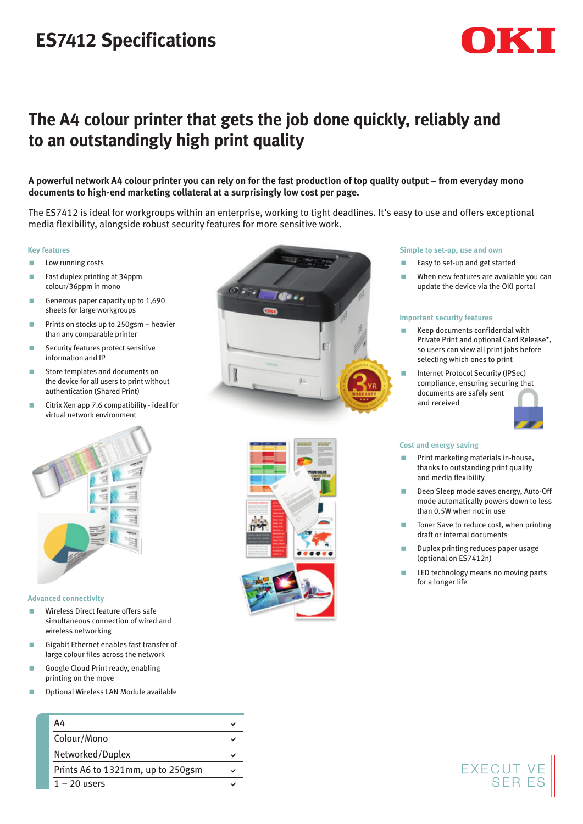# **ES7412 Specifications**

## **The A4 colour printer that gets the job done quickly, reliably and to an outstandingly high print quality**

**A powerful network A4 colour printer you can rely on for the fast production of top quality output – from everyday mono documents to high-end marketing collateral at a surprisingly low cost per page.** 

The ES7412 is ideal for workgroups within an enterprise, working to tight deadlines. It's easy to use and offers exceptional media flexibility, alongside robust security features for more sensitive work.

#### **Key features**

- **Low running costs**
- **Fast duplex printing at 34ppm** colour/36ppm in mono
- Generous paper capacity up to  $1,690$ sheets for large workgroups
- **Prints on stocks up to 250gsm heavier** than any comparable printer
- **Security features protect sensitive** information and IP
- **Store templates and documents on** the device for all users to print without authentication (Shared Print)
- Citrix Xen app 7.6 compatibility ideal for virtual network environment



#### **Advanced connectivity**

- **Wireless Direct feature offers safe** simultaneous connection of wired and wireless networking
- Gigabit Ethernet enables fast transfer of large colour files across the network
- Google Cloud Print ready, enabling printing on the move
- < Optional Wireless LAN Module available





### **Simple to set-up, use and own**

- < Easy to set-up and get started
- When new features are available you can update the device via the OKI portal

#### **Important security features**

- $\blacksquare$  Keep documents confidential with Private Print and optional Card Release\*, so users can view all print jobs before selecting which ones to print
- < Internet Protocol Security (IPSec) compliance, ensuring securing that documents are safely sent and received



### **Cost and energy saving**

- < Print marketing materials in-house, thanks to outstanding print quality and media flexibility
- < Deep Sleep mode saves energy, Auto-Off mode automatically powers down to less than 0.5W when not in use
- Toner Save to reduce cost, when printing draft or internal documents
- < Duplex printing reduces paper usage (optional on ES7412n)
- **LED** technology means no moving parts for a longer life